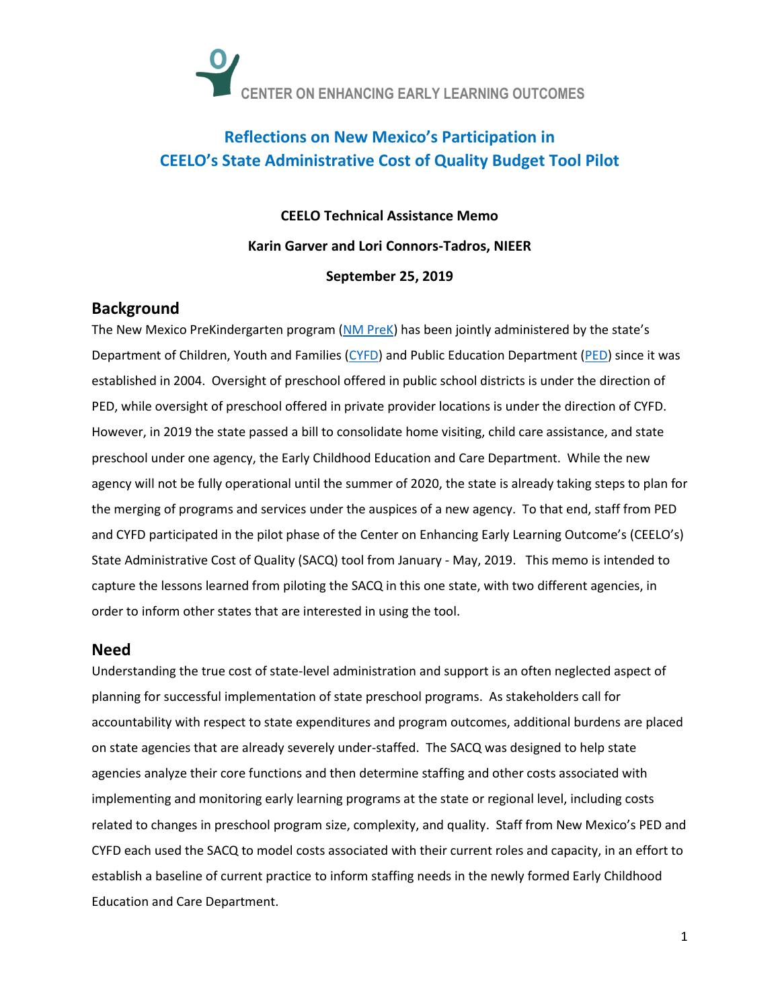

# **Reflections on New Mexico's Participation in CEELO's State Administrative Cost of Quality Budget Tool Pilot**

**CEELO Technical Assistance Memo Karin Garver and Lori Connors-Tadros, NIEER September 25, 2019**

### **Background**

The New Mexico PreKindergarten program [\(NM PreK](https://www.newmexicoprek.org/)) has been jointly administered by the state's Department of Children, Youth and Families [\(CYFD\)](https://cyfd.org/prek) and Public Education Department [\(PED\)](https://webnew.ped.state.nm.us/bureaus/early-childhood-bureau/) since it was established in 2004. Oversight of preschool offered in public school districts is under the direction of PED, while oversight of preschool offered in private provider locations is under the direction of CYFD. However, in 2019 the state passed a bill to consolidate home visiting, child care assistance, and state preschool under one agency, the Early Childhood Education and Care Department. While the new agency will not be fully operational until the summer of 2020, the state is already taking steps to plan for the merging of programs and services under the auspices of a new agency. To that end, staff from PED and CYFD participated in the pilot phase of the Center on Enhancing Early Learning Outcome's (CEELO's) State Administrative Cost of Quality (SACQ) tool from January - May, 2019. This memo is intended to capture the lessons learned from piloting the SACQ in this one state, with two different agencies, in order to inform other states that are interested in using the tool.

### **Need**

Understanding the true cost of state-level administration and support is an often neglected aspect of planning for successful implementation of state preschool programs. As stakeholders call for accountability with respect to state expenditures and program outcomes, additional burdens are placed on state agencies that are already severely under-staffed. The SACQ was designed to help state agencies analyze their core functions and then determine staffing and other costs associated with implementing and monitoring early learning programs at the state or regional level, including costs related to changes in preschool program size, complexity, and quality. Staff from New Mexico's PED and CYFD each used the SACQ to model costs associated with their current roles and capacity, in an effort to establish a baseline of current practice to inform staffing needs in the newly formed Early Childhood Education and Care Department.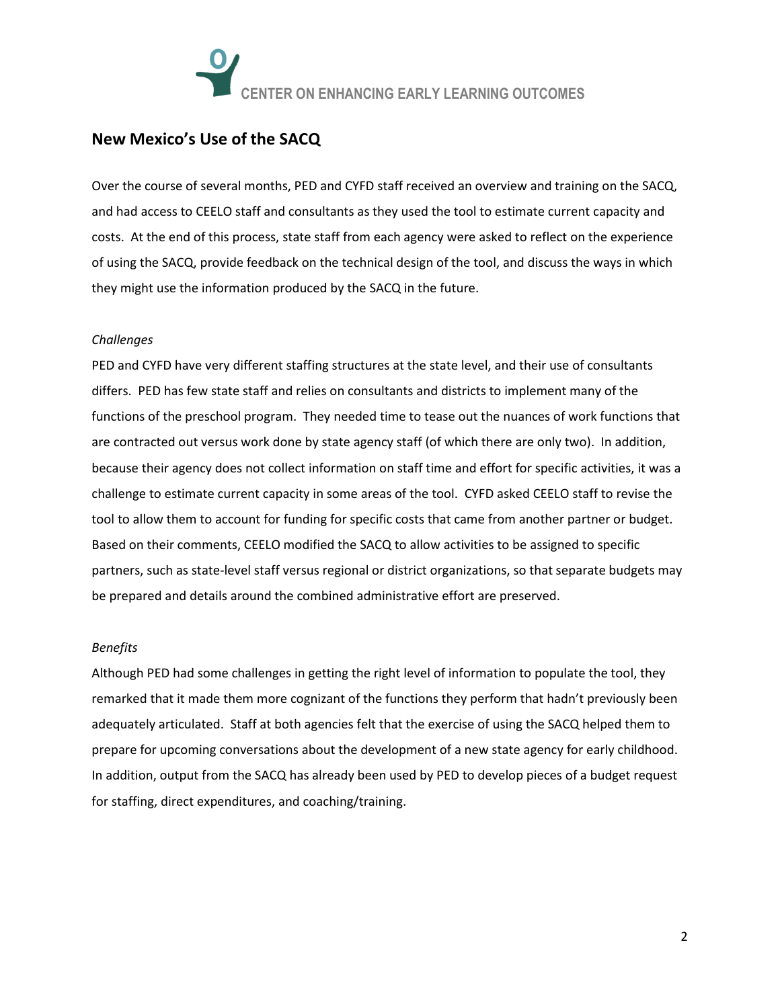

### **New Mexico's Use of the SACQ**

Over the course of several months, PED and CYFD staff received an overview and training on the SACQ, and had access to CEELO staff and consultants as they used the tool to estimate current capacity and costs. At the end of this process, state staff from each agency were asked to reflect on the experience of using the SACQ, provide feedback on the technical design of the tool, and discuss the ways in which they might use the information produced by the SACQ in the future.

#### *Challenges*

PED and CYFD have very different staffing structures at the state level, and their use of consultants differs. PED has few state staff and relies on consultants and districts to implement many of the functions of the preschool program. They needed time to tease out the nuances of work functions that are contracted out versus work done by state agency staff (of which there are only two). In addition, because their agency does not collect information on staff time and effort for specific activities, it was a challenge to estimate current capacity in some areas of the tool. CYFD asked CEELO staff to revise the tool to allow them to account for funding for specific costs that came from another partner or budget. Based on their comments, CEELO modified the SACQ to allow activities to be assigned to specific partners, such as state-level staff versus regional or district organizations, so that separate budgets may be prepared and details around the combined administrative effort are preserved.

#### *Benefits*

Although PED had some challenges in getting the right level of information to populate the tool, they remarked that it made them more cognizant of the functions they perform that hadn't previously been adequately articulated. Staff at both agencies felt that the exercise of using the SACQ helped them to prepare for upcoming conversations about the development of a new state agency for early childhood. In addition, output from the SACQ has already been used by PED to develop pieces of a budget request for staffing, direct expenditures, and coaching/training.